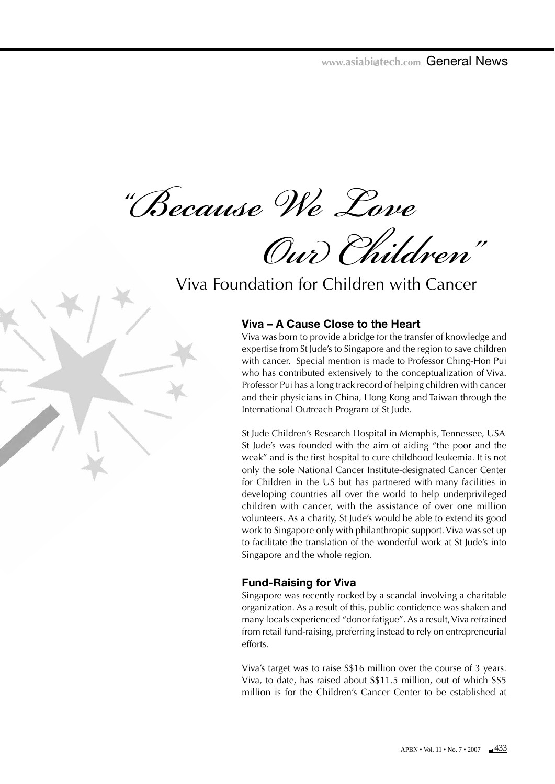*"Because We Love*

Our Children"

Viva Foundation for Children with Cancer

## **Viva – A Cause Close to the Heart**

Viva was born to provide a bridge for the transfer of knowledge and expertise from St Jude's to Singapore and the region to save children with cancer. Special mention is made to Professor Ching-Hon Pui who has contributed extensively to the conceptualization of Viva. Professor Pui has a long track record of helping children with cancer and their physicians in China, Hong Kong and Taiwan through the International Outreach Program of St Jude.

St Jude Children's Research Hospital in Memphis, Tennessee, USA St Jude's was founded with the aim of aiding "the poor and the weak" and is the first hospital to cure childhood leukemia. It is not only the sole National Cancer Institute-designated Cancer Center for Children in the US but has partnered with many facilities in developing countries all over the world to help underprivileged children with cancer, with the assistance of over one million volunteers. As a charity, St Jude's would be able to extend its good work to Singapore only with philanthropic support. Viva was set up to facilitate the translation of the wonderful work at St Jude's into Singapore and the whole region.

## **Fund-Raising for Viva**

Singapore was recently rocked by a scandal involving a charitable organization. As a result of this, public confidence was shaken and many locals experienced "donor fatigue". As a result, Viva refrained from retail fund-raising, preferring instead to rely on entrepreneurial efforts.

Viva's target was to raise S\$16 million over the course of 3 years. Viva, to date, has raised about S\$11.5 million, out of which S\$5 million is for the Children's Cancer Center to be established at